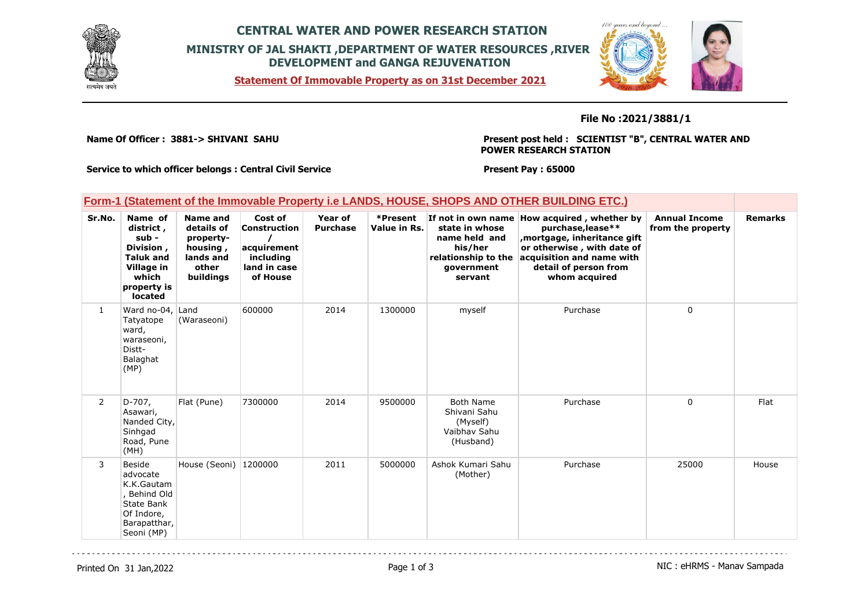

## **CENTRAL WATER AND POWER RESEARCH STATION MINISTRY OF JAL SHAKTI ,DEPARTMENT OF WATER RESOURCES ,RIVER DEVELOPMENT and GANGA REJUVENATION**

**Statement Of Immovable Property as on 31st December 2021**



**File No :2021/3881/1**

**Name Of Officer : 3881-> SHIVANI SAHU** 

**Present post held : SCIENTIST "B", CENTRAL WATER AND POWER RESEARCH STATION**

**Service to which officer belongs : Central Civil Service**

**Present Pay : 65000**

| <b>Form-1 (Statement of the Immovable Property i.e LANDS, HOUSE, SHOPS AND OTHER BUILDING ETC.)</b> |                                                                                                                   |                                                                                           |                                                                                        |                            |                          |                                                                           |                                                                                                                                                                                                                           |                                           |                |
|-----------------------------------------------------------------------------------------------------|-------------------------------------------------------------------------------------------------------------------|-------------------------------------------------------------------------------------------|----------------------------------------------------------------------------------------|----------------------------|--------------------------|---------------------------------------------------------------------------|---------------------------------------------------------------------------------------------------------------------------------------------------------------------------------------------------------------------------|-------------------------------------------|----------------|
| Sr.No.                                                                                              | Name of<br>district,<br>$sub -$<br>Division,<br><b>Taluk and</b><br>Village in<br>which<br>property is<br>located | <b>Name and</b><br>details of<br>property-<br>housing,<br>lands and<br>other<br>buildings | Cost of<br><b>Construction</b><br>acquirement<br>including<br>land in case<br>of House | Year of<br><b>Purchase</b> | *Present<br>Value in Rs. | state in whose<br>name held and<br>his/her<br>qovernment<br>servant       | If not in own name How acquired, whether by<br>purchase, lease**<br>, mortgage, inheritance gift<br>or otherwise, with date of<br>relationship to the acquisition and name with<br>detail of person from<br>whom acquired | <b>Annual Income</b><br>from the property | <b>Remarks</b> |
| $\mathbf{1}$                                                                                        | Ward no-04, Land<br>Tatyatope<br>ward,<br>waraseoni,<br>Distt-<br>Balaghat<br>(MP)                                | (Waraseoni)                                                                               | 600000                                                                                 | 2014                       | 1300000                  | myself                                                                    | Purchase                                                                                                                                                                                                                  | 0                                         |                |
| $\overline{2}$                                                                                      | $D-707$ ,<br>Asawari,<br>Nanded City,<br>Sinhgad<br>Road, Pune<br>(MH)                                            | Flat (Pune)                                                                               | 7300000                                                                                | 2014                       | 9500000                  | <b>Both Name</b><br>Shivani Sahu<br>(Myself)<br>Vaibhay Sahu<br>(Husband) | Purchase                                                                                                                                                                                                                  | 0                                         | Flat           |
| 3                                                                                                   | Beside<br>advocate<br>K.K.Gautam<br>, Behind Old<br>State Bank<br>Of Indore,                                      | House (Seoni)   1200000                                                                   |                                                                                        | 2011                       | 5000000                  | Ashok Kumari Sahu<br>(Mother)                                             | Purchase                                                                                                                                                                                                                  | 25000                                     | House          |

Barapatthar, Seoni (MP)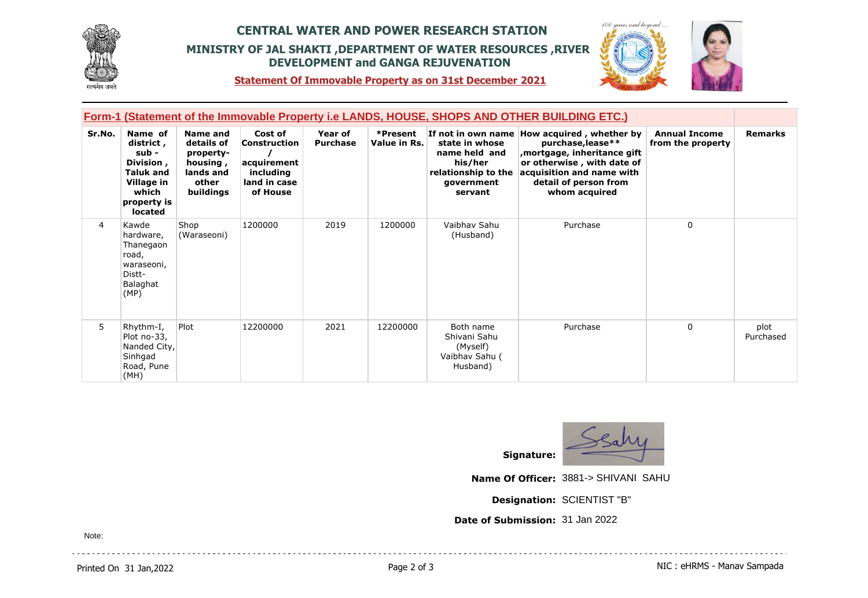

## **CENTRAL WATER AND POWER RESEARCH STATION MINISTRY OF JAL SHAKTI ,DEPARTMENT OF WATER RESOURCES ,RIVER DEVELOPMENT and GANGA REJUVENATION**



**Statement Of Immovable Property as on 31st December 2021**

|        | <u>Form-1 (Statement of the Immovable Property i.e LANDS, HOUSE, SHOPS AND OTHER BUILDING ETC.)</u>             |                                                                                    |                                                                                 |                            |                          |                                                                                            |                                                                                                                                                                                                      |                                           |                   |  |
|--------|-----------------------------------------------------------------------------------------------------------------|------------------------------------------------------------------------------------|---------------------------------------------------------------------------------|----------------------------|--------------------------|--------------------------------------------------------------------------------------------|------------------------------------------------------------------------------------------------------------------------------------------------------------------------------------------------------|-------------------------------------------|-------------------|--|
| Sr.No. | Name of<br>district,<br>sub -<br>Division,<br><b>Taluk and</b><br>Village in<br>which<br>property is<br>located | Name and<br>details of<br>property-<br>housing,<br>lands and<br>other<br>buildings | Cost of<br>Construction<br>acquirement<br>including<br>land in case<br>of House | Year of<br><b>Purchase</b> | *Present<br>Value in Rs. | state in whose<br>name held and<br>his/her<br>relationship to the<br>government<br>servant | If not in own name How acquired, whether by<br>purchase, lease**<br>mortgage, inheritance gift,<br>or otherwise, with date of<br>acquisition and name with<br>detail of person from<br>whom acquired | <b>Annual Income</b><br>from the property | <b>Remarks</b>    |  |
| 4      | Kawde<br>hardware,<br>Thanegaon<br>road,<br>waraseoni,<br>Distt-<br>Balaghat<br>(MP)                            | Shop<br>(Waraseoni)                                                                | 1200000                                                                         | 2019                       | 1200000                  | Vaibhav Sahu<br>(Husband)                                                                  | Purchase                                                                                                                                                                                             | 0                                         |                   |  |
| 5      | Rhythm-I,<br>Plot no-33,<br>Nanded City,<br>Sinhgad<br>Road, Pune<br>(MH)                                       | Plot                                                                               | 12200000                                                                        | 2021                       | 12200000                 | Both name<br>Shivani Sahu<br>(Myself)<br>Vaibhav Sahu (<br>Husband)                        | Purchase                                                                                                                                                                                             | $\mathbf{0}$                              | plot<br>Purchased |  |



**Name Of Officer:** 3881-> SHIVANI SAHU

**Designation:** SCIENTIST "B"

**Date of Submission:** 31 Jan 2022

Note:

. . . . . . . . . . .